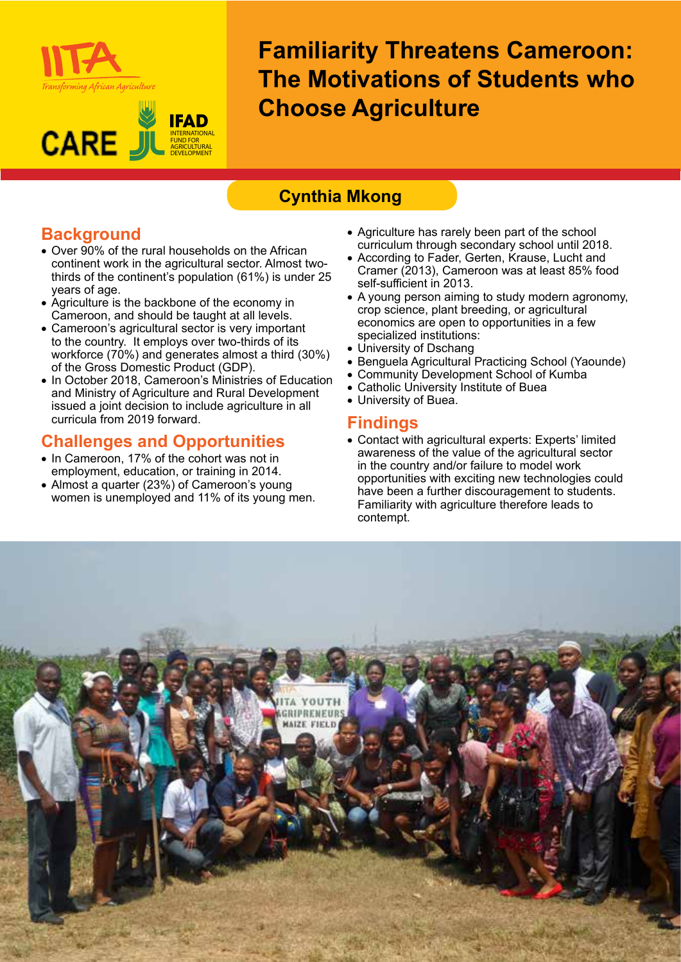



**Familiarity Threatens Cameroon: The Motivations of Students who Choose Agriculture**

# **Cynthia Mkong**

# **Background**

- Over 90% of the rural households on the African continent work in the agricultural sector. Almost twothirds of the continent's population (61%) is under 25 years of age.
- Agriculture is the backbone of the economy in Cameroon, and should be taught at all levels.
- Cameroon's agricultural sector is very important to the country. It employs over two-thirds of its workforce (70%) and generates almost a third (30%) of the Gross Domestic Product (GDP).
- In October 2018, Cameroon's Ministries of Education and Ministry of Agriculture and Rural Development issued a joint decision to include agriculture in all curricula from 2019 forward.

## **Challenges and Opportunities**

- In Cameroon, 17% of the cohort was not in employment, education, or training in 2014.
- Almost a quarter (23%) of Cameroon's young women is unemployed and 11% of its young men.
- Agriculture has rarely been part of the school curriculum through secondary school until 2018.
- According to Fader, Gerten, Krause, Lucht and Cramer (2013), Cameroon was at least 85% food self-sufficient in 2013.
- A young person aiming to study modern agronomy, crop science, plant breeding, or agricultural economics are open to opportunities in a few specialized institutions:
- University of Dschang
- Benguela Agricultural Practicing School (Yaounde)
- Community Development School of Kumba
- Catholic University Institute of Buea
- University of Buea.

### **Findings**

• Contact with agricultural experts: Experts' limited awareness of the value of the agricultural sector in the country and/or failure to model work opportunities with exciting new technologies could have been a further discouragement to students. Familiarity with agriculture therefore leads to contempt.